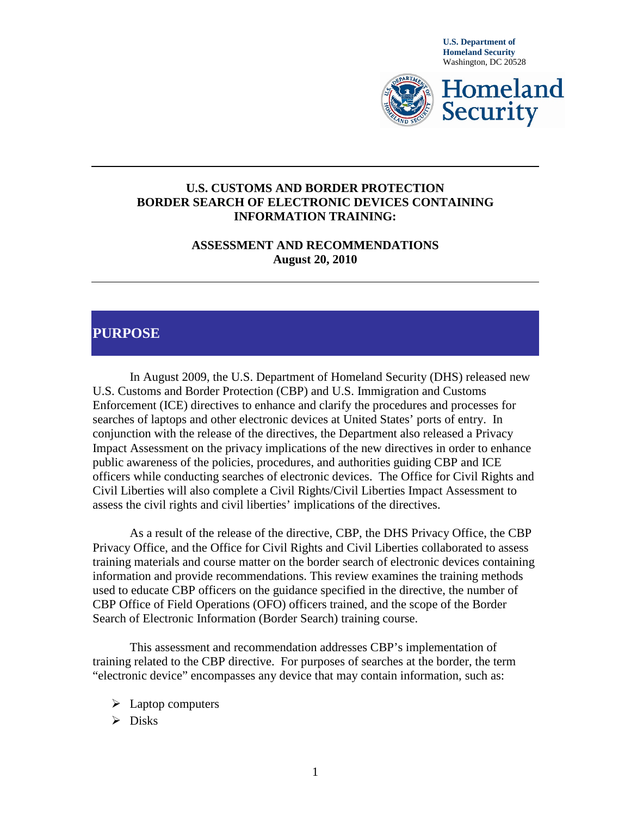

#### **U.S. CUSTOMS AND BORDER PROTECTION BORDER SEARCH OF ELECTRONIC DEVICES CONTAINING INFORMATION TRAINING:**

**ASSESSMENT AND RECOMMENDATIONS August 20, 2010**

### **PURPOSE**

In August 2009, the U.S. Department of Homeland Security (DHS) released new U.S. Customs and Border Protection (CBP) and U.S. Immigration and Customs Enforcement (ICE) directives to enhance and clarify the procedures and processes for searches of laptops and other electronic devices at United States' ports of entry. In conjunction with the release of the directives, the Department also released a Privacy Impact Assessment on the privacy implications of the new directives in order to enhance public awareness of the policies, procedures, and authorities guiding CBP and ICE officers while conducting searches of electronic devices. The Office for Civil Rights and Civil Liberties will also complete a Civil Rights/Civil Liberties Impact Assessment to assess the civil rights and civil liberties' implications of the directives.

As a result of the release of the directive, CBP, the DHS Privacy Office, the CBP Privacy Office, and the Office for Civil Rights and Civil Liberties collaborated to assess training materials and course matter on the border search of electronic devices containing information and provide recommendations. This review examines the training methods used to educate CBP officers on the guidance specified in the directive, the number of CBP Office of Field Operations (OFO) officers trained, and the scope of the Border Search of Electronic Information (Border Search) training course.

This assessment and recommendation addresses CBP's implementation of training related to the CBP directive. For purposes of searches at the border, the term "electronic device" encompasses any device that may contain information, such as:

- $\triangleright$  Laptop computers
- $\triangleright$  Disks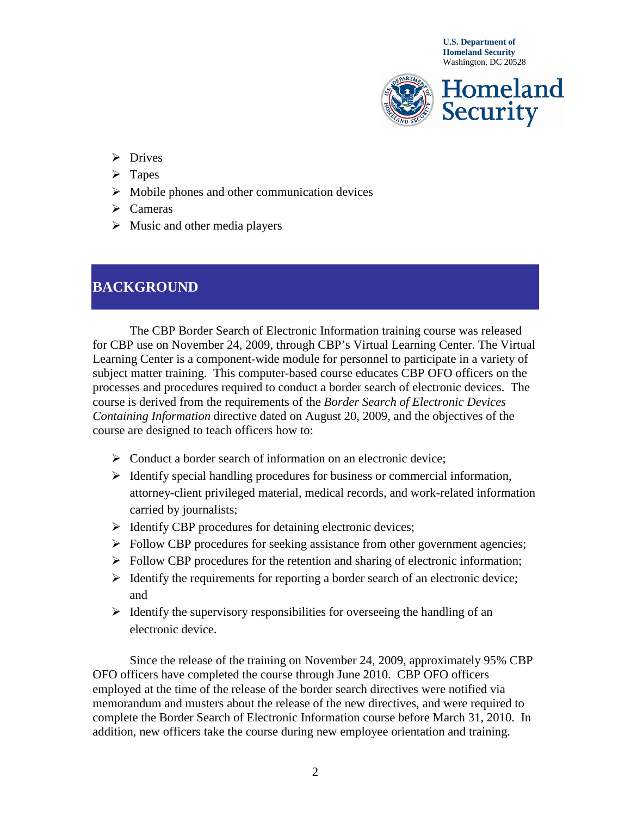

- > Drives
- $\triangleright$  Tapes
- $\triangleright$  Mobile phones and other communication devices
- $\triangleright$  Cameras
- $\triangleright$  Music and other media players

# **BACKGROUND**

The CBP Border Search of Electronic Information training course was released for CBP use on November 24, 2009, through CBP's Virtual Learning Center. The Virtual Learning Center is a component-wide module for personnel to participate in a variety of subject matter training. This computer-based course educates CBP OFO officers on the processes and procedures required to conduct a border search of electronic devices. The course is derived from the requirements of the *Border Search of Electronic Devices Containing Information* directive dated on August 20, 2009, and the objectives of the course are designed to teach officers how to:

- Solut a border search of information on an electronic device;
- $\triangleright$  Identify special handling procedures for business or commercial information, attorney-client privileged material, medical records, and work-related information carried by journalists;
- $\triangleright$  Identify CBP procedures for detaining electronic devices;
- $\triangleright$  Follow CBP procedures for seeking assistance from other government agencies;
- $\triangleright$  Follow CBP procedures for the retention and sharing of electronic information;
- $\triangleright$  Identify the requirements for reporting a border search of an electronic device; and
- $\triangleright$  Identify the supervisory responsibilities for overseeing the handling of an electronic device.

Since the release of the training on November 24, 2009, approximately 95% CBP OFO officers have completed the course through June 2010. CBP OFO officers employed at the time of the release of the border search directives were notified via memorandum and musters about the release of the new directives, and were required to complete the Border Search of Electronic Information course before March 31, 2010. In addition, new officers take the course during new employee orientation and training.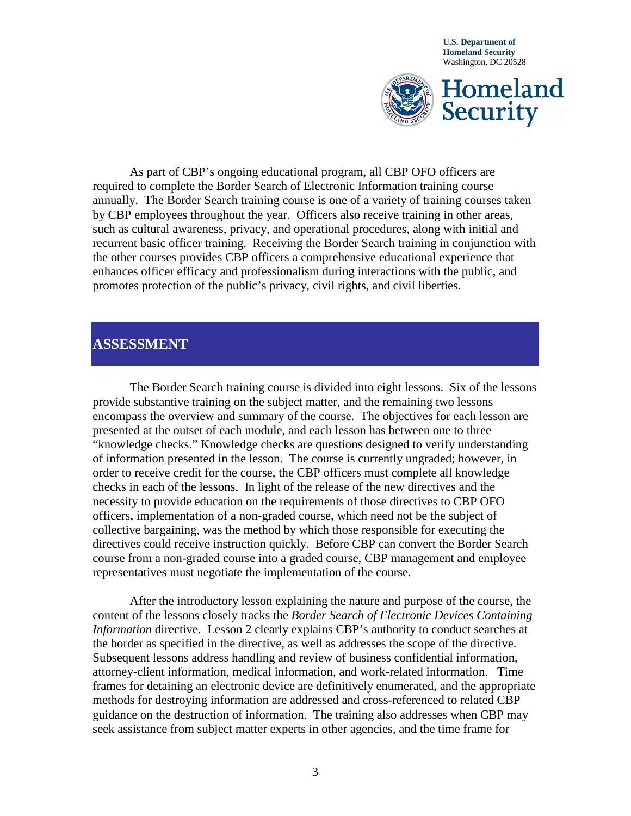

As part of CBP's ongoing educational program, all CBP OFO officers are required to complete the Border Search of Electronic Information training course annually. The Border Search training course is one of a variety of training courses taken by CBP employees throughout the year. Officers also receive training in other areas, such as cultural awareness, privacy, and operational procedures, along with initial and recurrent basic officer training. Receiving the Border Search training in conjunction with the other courses provides CBP officers a comprehensive educational experience that enhances officer efficacy and professionalism during interactions with the public, and promotes protection of the public's privacy, civil rights, and civil liberties.

### **ASSESSMENT**

The Border Search training course is divided into eight lessons. Six of the lessons provide substantive training on the subject matter, and the remaining two lessons encompass the overview and summary of the course. The objectives for each lesson are presented at the outset of each module, and each lesson has between one to three "knowledge checks." Knowledge checks are questions designed to verify understanding of information presented in the lesson. The course is currently ungraded; however, in order to receive credit for the course, the CBP officers must complete all knowledge checks in each of the lessons. In light of the release of the new directives and the necessity to provide education on the requirements of those directives to CBP OFO officers, implementation of a non-graded course, which need not be the subject of collective bargaining, was the method by which those responsible for executing the directives could receive instruction quickly. Before CBP can convert the Border Search course from a non-graded course into a graded course, CBP management and employee representatives must negotiate the implementation of the course.

After the introductory lesson explaining the nature and purpose of the course, the content of the lessons closely tracks the *Border Search of Electronic Devices Containing Information* directive. Lesson 2 clearly explains CBP's authority to conduct searches at the border as specified in the directive, as well as addresses the scope of the directive. Subsequent lessons address handling and review of business confidential information, attorney-client information, medical information, and work-related information. Time frames for detaining an electronic device are definitively enumerated, and the appropriate methods for destroying information are addressed and cross-referenced to related CBP guidance on the destruction of information. The training also addresses when CBP may seek assistance from subject matter experts in other agencies, and the time frame for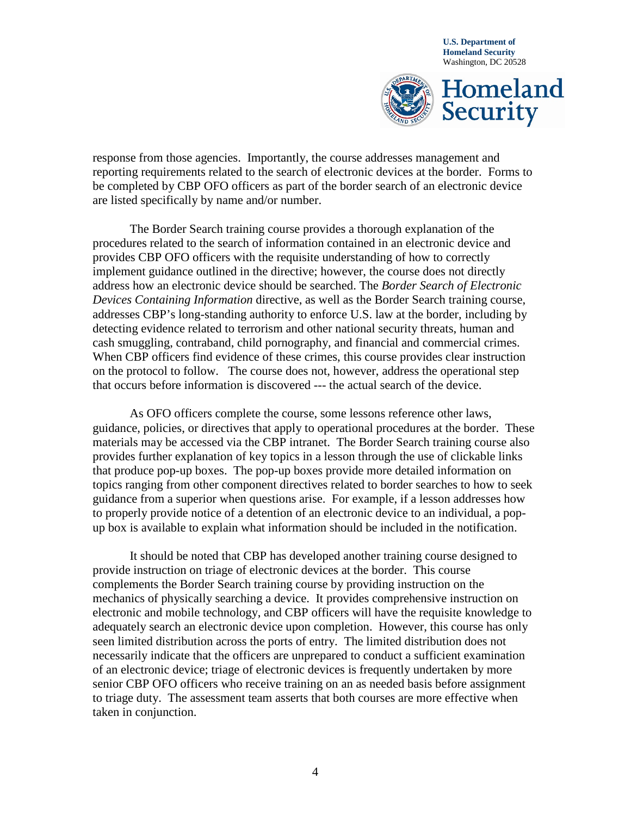

response from those agencies. Importantly, the course addresses management and reporting requirements related to the search of electronic devices at the border. Forms to be completed by CBP OFO officers as part of the border search of an electronic device are listed specifically by name and/or number.

The Border Search training course provides a thorough explanation of the procedures related to the search of information contained in an electronic device and provides CBP OFO officers with the requisite understanding of how to correctly implement guidance outlined in the directive; however, the course does not directly address how an electronic device should be searched. The *Border Search of Electronic Devices Containing Information* directive, as well as the Border Search training course, addresses CBP's long-standing authority to enforce U.S. law at the border, including by detecting evidence related to terrorism and other national security threats, human and cash smuggling, contraband, child pornography, and financial and commercial crimes. When CBP officers find evidence of these crimes, this course provides clear instruction on the protocol to follow. The course does not, however, address the operational step that occurs before information is discovered --- the actual search of the device.

As OFO officers complete the course, some lessons reference other laws, guidance, policies, or directives that apply to operational procedures at the border. These materials may be accessed via the CBP intranet. The Border Search training course also provides further explanation of key topics in a lesson through the use of clickable links that produce pop-up boxes. The pop-up boxes provide more detailed information on topics ranging from other component directives related to border searches to how to seek guidance from a superior when questions arise. For example, if a lesson addresses how to properly provide notice of a detention of an electronic device to an individual, a popup box is available to explain what information should be included in the notification.

It should be noted that CBP has developed another training course designed to provide instruction on triage of electronic devices at the border. This course complements the Border Search training course by providing instruction on the mechanics of physically searching a device. It provides comprehensive instruction on electronic and mobile technology, and CBP officers will have the requisite knowledge to adequately search an electronic device upon completion. However, this course has only seen limited distribution across the ports of entry. The limited distribution does not necessarily indicate that the officers are unprepared to conduct a sufficient examination of an electronic device; triage of electronic devices is frequently undertaken by more senior CBP OFO officers who receive training on an as needed basis before assignment to triage duty. The assessment team asserts that both courses are more effective when taken in conjunction.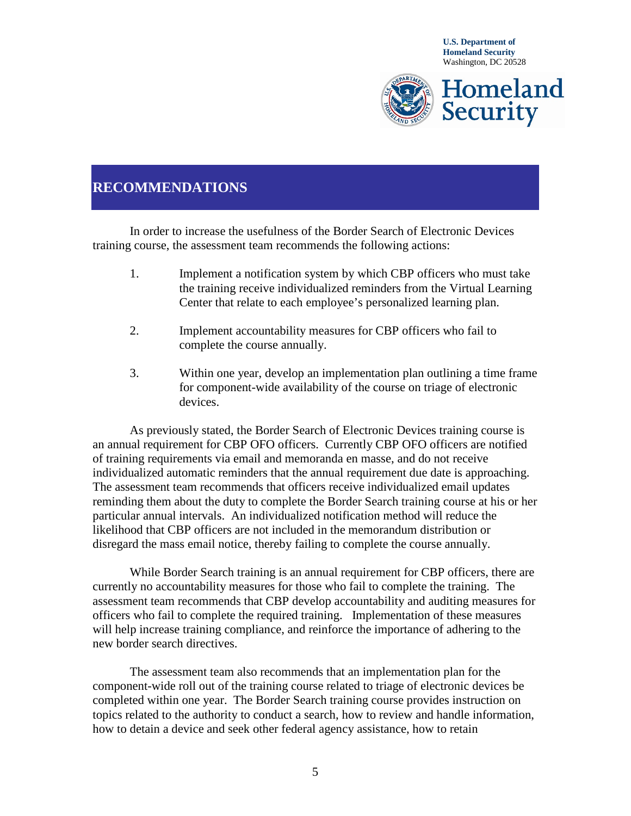

## **RECOMMENDATIONS**

In order to increase the usefulness of the Border Search of Electronic Devices training course, the assessment team recommends the following actions:

- 1. Implement a notification system by which CBP officers who must take the training receive individualized reminders from the Virtual Learning Center that relate to each employee's personalized learning plan.
- 2. Implement accountability measures for CBP officers who fail to complete the course annually.
- 3. Within one year, develop an implementation plan outlining a time frame for component-wide availability of the course on triage of electronic devices.

As previously stated, the Border Search of Electronic Devices training course is an annual requirement for CBP OFO officers. Currently CBP OFO officers are notified of training requirements via email and memoranda en masse, and do not receive individualized automatic reminders that the annual requirement due date is approaching. The assessment team recommends that officers receive individualized email updates reminding them about the duty to complete the Border Search training course at his or her particular annual intervals. An individualized notification method will reduce the likelihood that CBP officers are not included in the memorandum distribution or disregard the mass email notice, thereby failing to complete the course annually.

While Border Search training is an annual requirement for CBP officers, there are currently no accountability measures for those who fail to complete the training. The assessment team recommends that CBP develop accountability and auditing measures for officers who fail to complete the required training. Implementation of these measures will help increase training compliance, and reinforce the importance of adhering to the new border search directives.

The assessment team also recommends that an implementation plan for the component-wide roll out of the training course related to triage of electronic devices be completed within one year. The Border Search training course provides instruction on topics related to the authority to conduct a search, how to review and handle information, how to detain a device and seek other federal agency assistance, how to retain